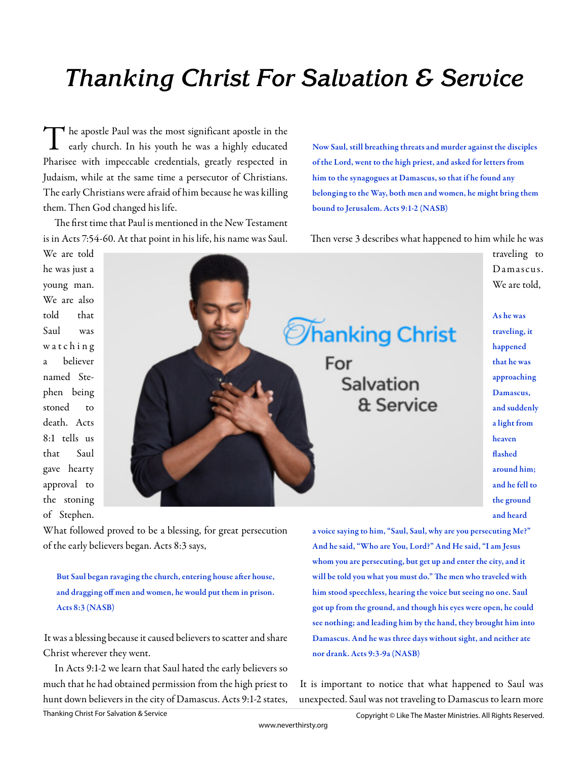# **Thanking Christ For Salvation & Service**

T  $\blacktriangleright$  he apostle Paul was the most significant apostle in the early church. In his youth he was a highly educated Pharisee with impeccable credentials, greatly respected in Judaism, while at the same time a persecutor of Christians. The early Christians were afraid of him because he was killing them. Then God changed his life.

The first time that Paul is mentioned in the New Testament is in Acts 7:54-60. At that point in his life, his name was Saul.

Now Saul, still breathing threats and murder against the disciples of the Lord, went to the high priest, and asked for letters from him to the synagogues at Damascus, so that if he found any belonging to the Way, both men and women, he might bring them bound to Jerusalem. Acts 9:1-2 (NASB)

Then verse 3 describes what happened to him while he was

We are told he was just a young man. We are also told that Saul was w a t c h i n g a believer named Stephen being stoned to death. Acts 8:1 tells us that Saul gave hearty approval to the stoning of Stephen.



As he was traveling, it happened that he was approaching Damascus, and suddenly a light from

heaven flashed around him; and he fell to the ground and heard

traveling to Damascus. We are told.

What followed proved to be a blessing, for great persecution of the early believers began. Acts 8:3 says,

But Saul began ravaging the church, entering house after house, and dragging off men and women, he would put them in prison. Acts 8:3 (NASB)

It was a blessing because it caused believers to scatter and share Christ wherever they went.

In Acts 9:1-2 we learn that Saul hated the early believers so much that he had obtained permission from the high priest to hunt down believers in the city of Damascus. Acts 9:1-2 states,

a voice saying to him, "Saul, Saul, why are you persecuting Me?" And he said, "Who are You, Lord?" And He said, "I am Jesus whom you are persecuting, but get up and enter the city, and it will be told you what you must do." The men who traveled with him stood speechless, hearing the voice but seeing no one. Saul got up from the ground, and though his eyes were open, he could see nothing; and leading him by the hand, they brought him into Damascus. And he was three days without sight, and neither ate nor drank. Acts 9:3-9a (NASB)

It is important to notice that what happened to Saul was unexpected. Saul was not traveling to Damascus to learn more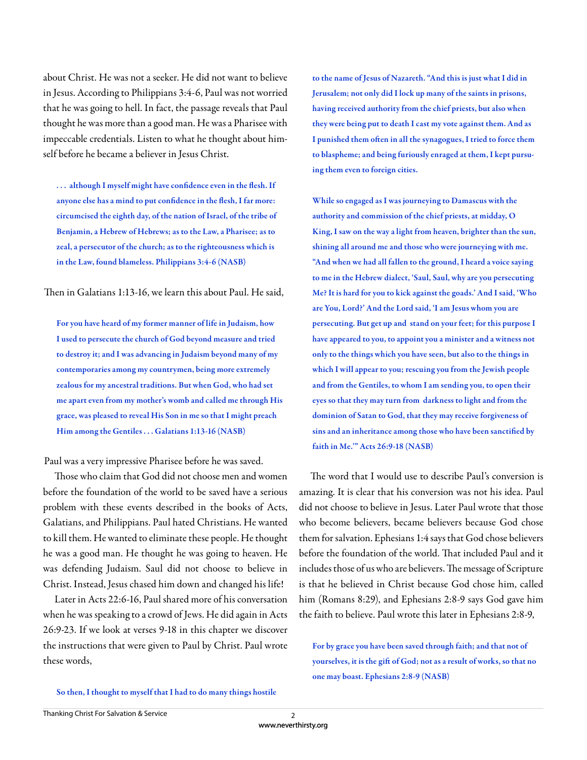about Christ. He was not a seeker. He did not want to believe in Jesus. According to Philippians 3:4-6, Paul was not worried that he was going to hell. In fact, the passage reveals that Paul thought he was more than a good man. He was a Pharisee with impeccable credentials. Listen to what he thought about himself before he became a believer in Jesus Christ.

... although I myself might have confidence even in the flesh. If anyone else has a mind to put confidence in the flesh, I far more: circumcised the eighth day, of the nation of Israel, of the tribe of Benjamin, a Hebrew of Hebrews; as to the Law, a Pharisee; as to zeal, a persecutor of the church; as to the righteousness which is in the Law, found blameless. Philippians 3:4-6 (NASB)

Then in Galatians 1:13-16, we learn this about Paul. He said,

For you have heard of my former manner of life in Judaism, how I used to persecute the church of God beyond measure and tried to destroy it; and I was advancing in Judaism beyond many of my contemporaries among my countrymen, being more extremely zealous for my ancestral traditions. But when God, who had set me apart even from my mother's womb and called me through His grace, was pleased to reveal His Son in me so that I might preach Him among the Gentiles . . . Galatians 1:13-16 (NASB)

Paul was a very impressive Pharisee before he was saved.

Those who claim that God did not choose men and women before the foundation of the world to be saved have a serious problem with these events described in the books of Acts, Galatians, and Philippians. Paul hated Christians. He wanted to kill them. He wanted to eliminate these people. He thought he was a good man. He thought he was going to heaven. He was defending Judaism. Saul did not choose to believe in Christ. Instead, Jesus chased him down and changed his life!

Later in Acts 22:6-16, Paul shared more of his conversation when he was speaking to a crowd of Jews. He did again in Acts 26:9-23. If we look at verses 9-18 in this chapter we discover the instructions that were given to Paul by Christ. Paul wrote these words,

to the name of Jesus of Nazareth. "And this is just what I did in Jerusalem; not only did I lock up many of the saints in prisons, having received authority from the chief priests, but also when they were being put to death I cast my vote against them. And as I punished them often in all the synagogues, I tried to force them to blaspheme; and being furiously enraged at them, I kept pursuing them even to foreign cities.

While so engaged as I was journeying to Damascus with the authority and commission of the chief priests, at midday, O King, I saw on the way a light from heaven, brighter than the sun, shining all around me and those who were journeying with me. "And when we had all fallen to the ground, I heard a voice saying to me in the Hebrew dialect, 'Saul, Saul, why are you persecuting Me? It is hard for you to kick against the goads.' And I said, 'Who are You, Lord?' And the Lord said, 'I am Jesus whom you are persecuting. But get up and stand on your feet; for this purpose I have appeared to you, to appoint you a minister and a witness not only to the things which you have seen, but also to the things in which I will appear to you; rescuing you from the Jewish people and from the Gentiles, to whom I am sending you, to open their eyes so that they may turn from darkness to light and from the dominion of Satan to God, that they may receive forgiveness of sins and an inheritance among those who have been sanctified by faith in Me.'" Acts 26:9-18 (NASB)

The word that I would use to describe Paul's conversion is amazing. It is clear that his conversion was not his idea. Paul did not choose to believe in Jesus. Later Paul wrote that those who become believers, became believers because God chose them for salvation. Ephesians 1:4 says that God chose believers before the foundation of the world. That included Paul and it includes those of us who are believers. The message of Scripture is that he believed in Christ because God chose him, called him (Romans 8:29), and Ephesians 2:8-9 says God gave him the faith to believe. Paul wrote this later in Ephesians 2:8-9,

For by grace you have been saved through faith; and that not of yourselves, it is the gift of God; not as a result of works, so that no one may boast. Ephesians 2:8-9 (NASB)

So then, I thought to myself that I had to do many things hostile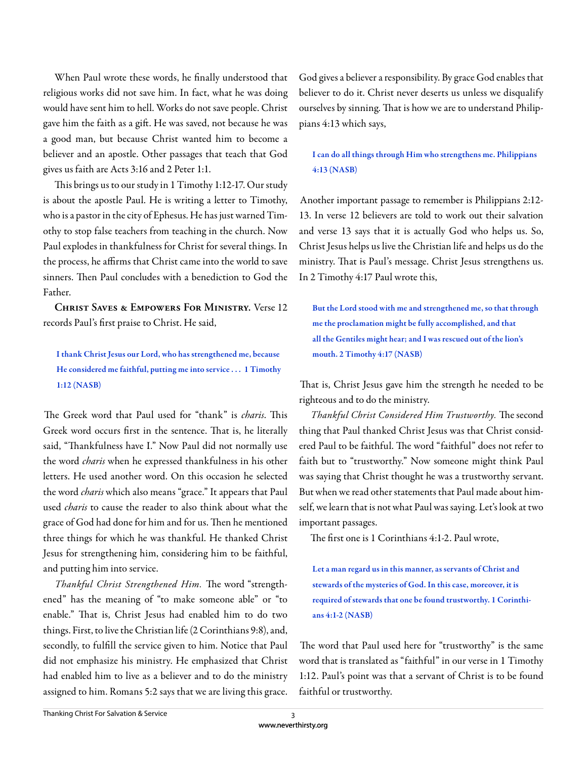When Paul wrote these words, he finally understood that religious works did not save him. In fact, what he was doing would have sent him to hell. Works do not save people. Christ gave him the faith as a gift. He was saved, not because he was a good man, but because Christ wanted him to become a believer and an apostle. Other passages that teach that God gives us faith are Acts 3:16 and 2 Peter 1:1.

This brings us to our study in 1 Timothy 1:12-17. Our study is about the apostle Paul. He is writing a letter to Timothy, who is a pastor in the city of Ephesus. He has just warned Timothy to stop false teachers from teaching in the church. Now Paul explodes in thankfulness for Christ for several things. In the process, he affirms that Christ came into the world to save sinners. Then Paul concludes with a benediction to God the Father.

**Christ Saves & Empowers For Ministry.** Verse 12 records Paul's first praise to Christ. He said,

I thank Christ Jesus our Lord, who has strengthened me, because He considered me faithful, putting me into service . . . 1 Timothy 1:12 (NASB)

The Greek word that Paul used for "thank" is *charis*. This Greek word occurs first in the sentence. That is, he literally said, "Thankfulness have I." Now Paul did not normally use the word *charis* when he expressed thankfulness in his other letters. He used another word. On this occasion he selected the word *charis* which also means "grace." It appears that Paul used *charis* to cause the reader to also think about what the grace of God had done for him and for us. Then he mentioned three things for which he was thankful. He thanked Christ Jesus for strengthening him, considering him to be faithful, and putting him into service.

*Thankful Christ Strengthened Him.* The word "strengthened" has the meaning of "to make someone able" or "to enable." Th at is, Christ Jesus had enabled him to do two things. First, to live the Christian life (2 Corinthians 9:8), and, secondly, to fulfill the service given to him. Notice that Paul did not emphasize his ministry. He emphasized that Christ had enabled him to live as a believer and to do the ministry assigned to him. Romans 5:2 says that we are living this grace.

God gives a believer a responsibility. By grace God enables that believer to do it. Christ never deserts us unless we disqualify ourselves by sinning. That is how we are to understand Philippians 4:13 which says,

## I can do all things through Him who strengthens me. Philippians 4:13 (NASB)

Another important passage to remember is Philippians 2:12- 13. In verse 12 believers are told to work out their salvation and verse 13 says that it is actually God who helps us. So, Christ Jesus helps us live the Christian life and helps us do the ministry. That is Paul's message. Christ Jesus strengthens us. In 2 Timothy 4:17 Paul wrote this,

But the Lord stood with me and strengthened me, so that through me the proclamation might be fully accomplished, and that all the Gentiles might hear; and I was rescued out of the lion's mouth. 2 Timothy 4:17 (NASB)

That is, Christ Jesus gave him the strength he needed to be righteous and to do the ministry.

*Thankful Christ Considered Him Trustworthy*. The second thing that Paul thanked Christ Jesus was that Christ considered Paul to be faithful. The word "faithful" does not refer to faith but to "trustworthy." Now someone might think Paul was saying that Christ thought he was a trustworthy servant. But when we read other statements that Paul made about himself, we learn that is not what Paul was saying. Let's look at two important passages.

The first one is 1 Corinthians 4:1-2. Paul wrote,

Let a man regard us in this manner, as servants of Christ and stewards of the mysteries of God. In this case, moreover, it is required of stewards that one be found trustworthy. 1 Corinthians 4:1-2 (NASB)

The word that Paul used here for "trustworthy" is the same word that is translated as "faithful" in our verse in 1 Timothy 1:12. Paul's point was that a servant of Christ is to be found faithful or trustworthy.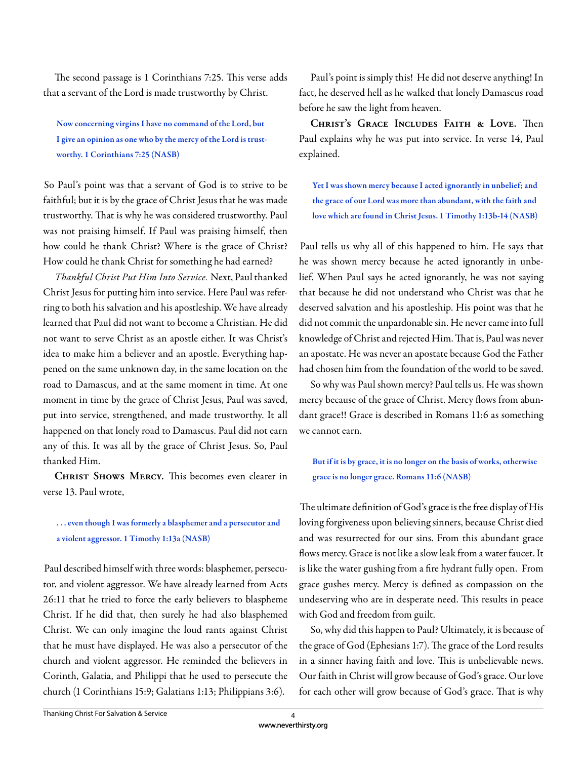The second passage is 1 Corinthians 7:25. This verse adds that a servant of the Lord is made trustworthy by Christ.

Now concerning virgins I have no command of the Lord, but I give an opinion as one who by the mercy of the Lord is trustworthy. 1 Corinthians 7:25 (NASB)

So Paul's point was that a servant of God is to strive to be faithful; but it is by the grace of Christ Jesus that he was made trustworthy. That is why he was considered trustworthy. Paul was not praising himself. If Paul was praising himself, then how could he thank Christ? Where is the grace of Christ? How could he thank Christ for something he had earned?

*Thankful Christ Put Him Into Service.* Next, Paul thanked Christ Jesus for putting him into service. Here Paul was referring to both his salvation and his apostleship. We have already learned that Paul did not want to become a Christian. He did not want to serve Christ as an apostle either. It was Christ's idea to make him a believer and an apostle. Everything happened on the same unknown day, in the same location on the road to Damascus, and at the same moment in time. At one moment in time by the grace of Christ Jesus, Paul was saved, put into service, strengthened, and made trustworthy. It all happened on that lonely road to Damascus. Paul did not earn any of this. It was all by the grace of Christ Jesus. So, Paul thanked Him.

**CHRIST SHOWS MERCY.** This becomes even clearer in verse 13. Paul wrote,

## . . . even though I was formerly a blasphemer and a persecutor and a violent aggressor. 1 Timothy 1:13a (NASB)

Paul described himself with three words: blasphemer, persecutor, and violent aggressor. We have already learned from Acts 26:11 that he tried to force the early believers to blaspheme Christ. If he did that, then surely he had also blasphemed Christ. We can only imagine the loud rants against Christ that he must have displayed. He was also a persecutor of the church and violent aggressor. He reminded the believers in Corinth, Galatia, and Philippi that he used to persecute the church (1 Corinthians 15:9; Galatians 1:13; Philippians 3:6).

Paul's point is simply this! He did not deserve anything! In fact, he deserved hell as he walked that lonely Damascus road before he saw the light from heaven.

CHRIST'S GRACE INCLUDES FAITH & LOVE. Then Paul explains why he was put into service. In verse 14, Paul explained.

Yet I was shown mercy because I acted ignorantly in unbelief; and the grace of our Lord was more than abundant, with the faith and love which are found in Christ Jesus. 1 Timothy 1:13b-14 (NASB)

Paul tells us why all of this happened to him. He says that he was shown mercy because he acted ignorantly in unbelief. When Paul says he acted ignorantly, he was not saying that because he did not understand who Christ was that he deserved salvation and his apostleship. His point was that he did not commit the unpardonable sin. He never came into full knowledge of Christ and rejected Him. That is, Paul was never an apostate. He was never an apostate because God the Father had chosen him from the foundation of the world to be saved.

So why was Paul shown mercy? Paul tells us. He was shown mercy because of the grace of Christ. Mercy flows from abundant grace!! Grace is described in Romans 11:6 as something we cannot earn.

But if it is by grace, it is no longer on the basis of works, otherwise grace is no longer grace. Romans 11:6 (NASB)

The ultimate definition of God's grace is the free display of His loving forgiveness upon believing sinners, because Christ died and was resurrected for our sins. From this abundant grace flows mercy. Grace is not like a slow leak from a water faucet. It is like the water gushing from a fire hydrant fully open. From grace gushes mercy. Mercy is defined as compassion on the undeserving who are in desperate need. This results in peace with God and freedom from guilt.

So, why did this happen to Paul? Ultimately, it is because of the grace of God (Ephesians 1:7). The grace of the Lord results in a sinner having faith and love. This is unbelievable news. Our faith in Christ will grow because of God's grace. Our love for each other will grow because of God's grace. That is why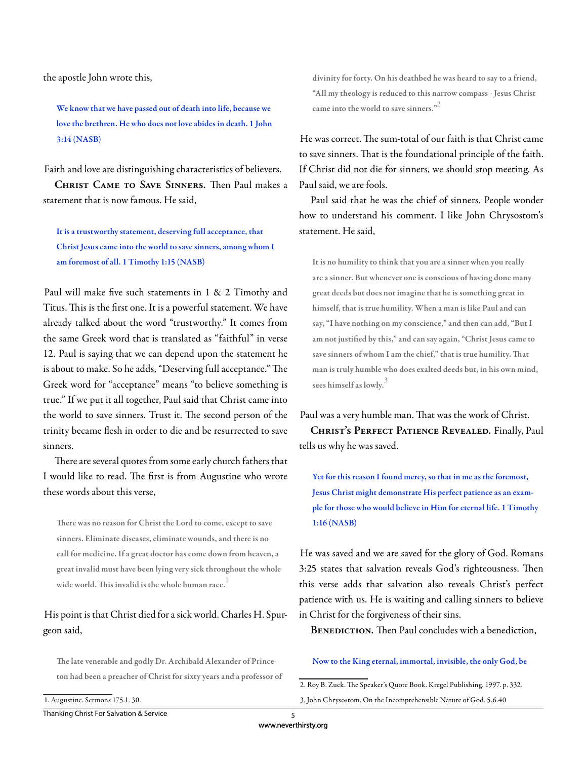the apostle John wrote this,

We know that we have passed out of death into life, because we love the brethren. He who does not love abides in death. 1 John 3:14 (NASB)

Faith and love are distinguishing characteristics of believers. **CHRIST CAME TO SAVE SINNERS.** Then Paul makes a statement that is now famous. He said,

It is a trustworthy statement, deserving full acceptance, that Christ Jesus came into the world to save sinners, among whom I am foremost of all. 1 Timothy 1:15 (NASB)

Paul will make five such statements in  $1 \& 2$  Timothy and Titus. This is the first one. It is a powerful statement. We have already talked about the word "trustworthy." It comes from the same Greek word that is translated as "faithful" in verse 12. Paul is saying that we can depend upon the statement he is about to make. So he adds, "Deserving full acceptance." The Greek word for "acceptance" means "to believe something is true." If we put it all together, Paul said that Christ came into the world to save sinners. Trust it. The second person of the trinity became flesh in order to die and be resurrected to save sinners.

There are several quotes from some early church fathers that I would like to read. The first is from Augustine who wrote these words about this verse,

There was no reason for Christ the Lord to come, except to save sinners. Eliminate diseases, eliminate wounds, and there is no call for medicine. If a great doctor has come down from heaven, a great invalid must have been lying very sick throughout the whole wide world. This invalid is the whole human race.  $^{\mathrm{l}}$ 

# His point is that Christ died for a sick world. Charles H. Spurgeon said,

The late venerable and godly Dr. Archibald Alexander of Princeton had been a preacher of Christ for sixty years and a professor of

divinity for forty. On his deathbed he was heard to say to a friend, "All my theology is reduced to this narrow compass - Jesus Christ came into the world to save sinners." $2^2$ 

He was correct. The sum-total of our faith is that Christ came to save sinners. That is the foundational principle of the faith. If Christ did not die for sinners, we should stop meeting. As Paul said, we are fools.

Paul said that he was the chief of sinners. People wonder how to understand his comment. I like John Chrysostom's statement. He said,

It is no humility to think that you are a sinner when you really are a sinner. But whenever one is conscious of having done many great deeds but does not imagine that he is something great in himself, that is true humility. When a man is like Paul and can say, "I have nothing on my conscience," and then can add, "But I am not justified by this," and can say again, "Christ Jesus came to save sinners of whom I am the chief," that is true humility. That man is truly humble who does exalted deeds but, in his own mind, sees himself as lowly.<sup>3</sup>

Paul was a very humble man. That was the work of Christ. **Christ's Perfect Patience Revealed.** Finally, Paul tells us why he was saved.

Yet for this reason I found mercy, so that in me as the foremost, Jesus Christ might demonstrate His perfect patience as an example for those who would believe in Him for eternal life. 1 Timothy 1:16 (NASB)

He was saved and we are saved for the glory of God. Romans 3:25 states that salvation reveals God's righteousness. Then this verse adds that salvation also reveals Christ's perfect patience with us. He is waiting and calling sinners to believe in Christ for the forgiveness of their sins.

**BENEDICTION.** Then Paul concludes with a benediction,

### Now to the King eternal, immortal, invisible, the only God, be

1. Augustine. Sermons 175.1. 30.

<sup>2.</sup> Roy B. Zuck. The Speaker's Quote Book. Kregel Publishing. 1997. p. 332.

<sup>3.</sup> John Chrysostom. On the Incomprehensible Nature of God. 5.6.40